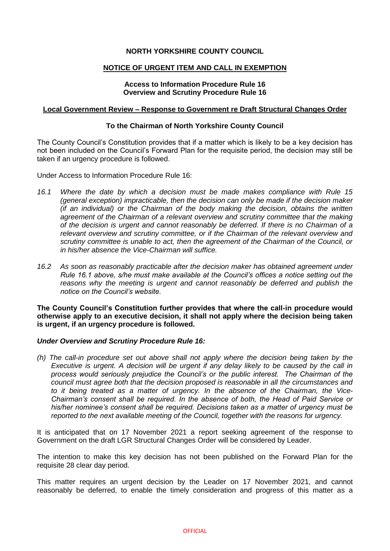# **NORTH YORKSHIRE COUNTY COUNCIL**

## **NOTICE OF URGENT ITEM AND CALL IN EXEMPTION**

## **Access to Information Procedure Rule 16 Overview and Scrutiny Procedure Rule 16**

#### **Local Government Review – Response to Government re Draft Structural Changes Order**

### **To the Chairman of North Yorkshire County Council**

The County Council's Constitution provides that if a matter which is likely to be a key decision has not been included on the Council's Forward Plan for the requisite period, the decision may still be taken if an urgency procedure is followed.

Under Access to Information Procedure Rule 16:

- *16.1 Where the date by which a decision must be made makes compliance with Rule 15 (general exception) impracticable, then the decision can only be made if the decision maker (if an individual) or the Chairman of the body making the decision, obtains the written agreement of the Chairman of a relevant overview and scrutiny committee that the making of the decision is urgent and cannot reasonably be deferred. If there is no Chairman of a relevant overview and scrutiny committee, or if the Chairman of the relevant overview and scrutiny committee is unable to act, then the agreement of the Chairman of the Council, or in his/her absence the Vice-Chairman will suffice.*
- *16.2 As soon as reasonably practicable after the decision maker has obtained agreement under Rule 16.1 above, s/he must make available at the Council's offices a notice setting out the*  reasons why the meeting is urgent and cannot reasonably be deferred and publish the *notice on the Council's website.*

**The County Council's Constitution further provides that where the call-in procedure would otherwise apply to an executive decision, it shall not apply where the decision being taken is urgent, if an urgency procedure is followed.**

### *Under Overview and Scrutiny Procedure Rule 16:*

*(h) The call-in procedure set out above shall not apply where the decision being taken by the Executive is urgent. A decision will be urgent if any delay likely to be caused by the call in process would seriously prejudice the Council's or the public interest. The Chairman of the council must agree both that the decision proposed is reasonable in all the circumstances and to it being treated as a matter of urgency. In the absence of the Chairman, the Vice-Chairman's consent shall be required. In the absence of both, the Head of Paid Service or his/her nominee's consent shall be required. Decisions taken as a matter of urgency must be reported to the next available meeting of the Council, together with the reasons for urgency.*

It is anticipated that on 17 November 2021 a report seeking agreement of the response to Government on the draft LGR Structural Changes Order will be considered by Leader.

The intention to make this key decision has not been published on the Forward Plan for the requisite 28 clear day period.

This matter requires an urgent decision by the Leader on 17 November 2021, and cannot reasonably be deferred, to enable the timely consideration and progress of this matter as a